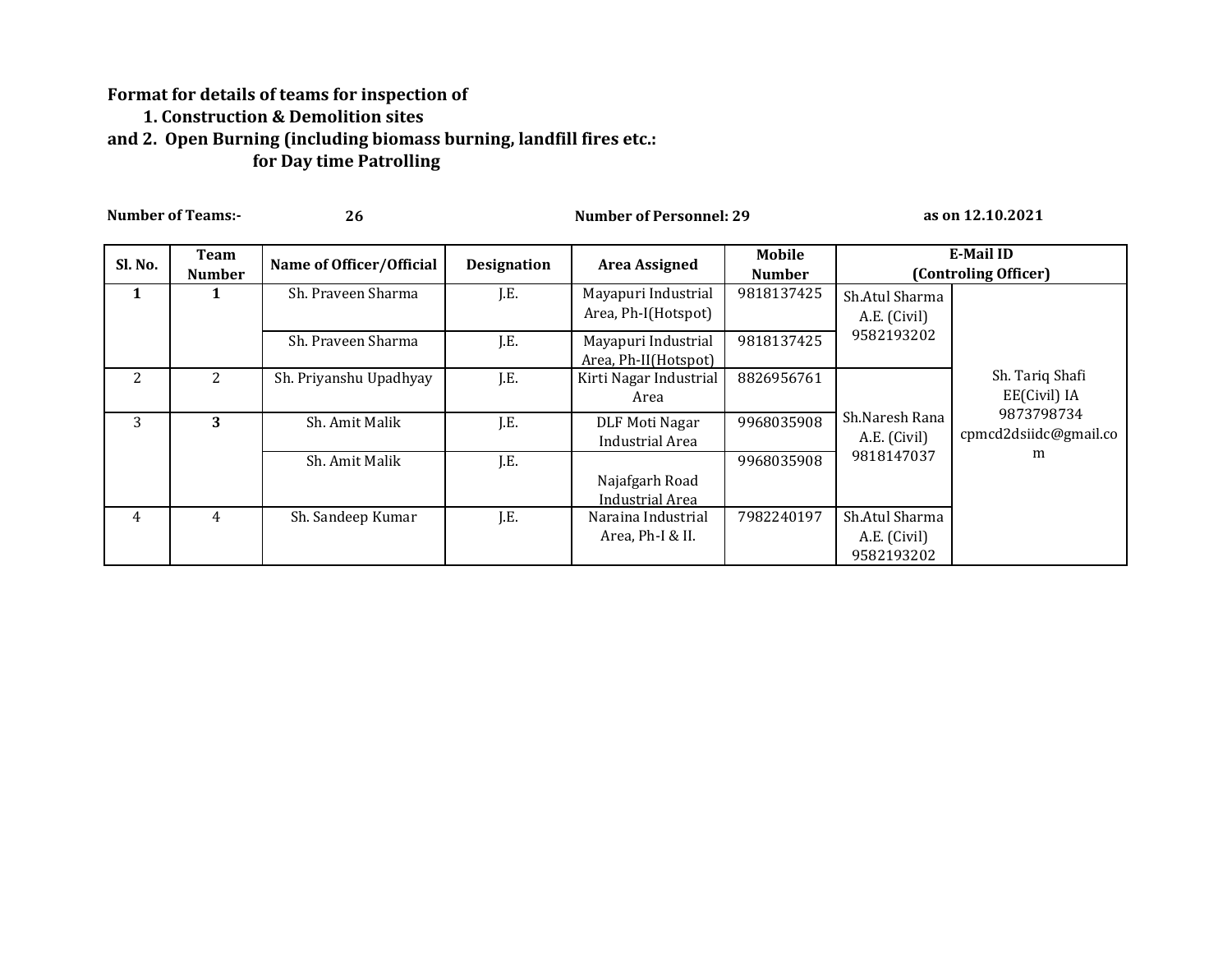## **Format for details of teams for inspection of 1. Construction & Demolition sites and 2. Open Burning (including biomass burning, landfill fires etc.: for Day time Patrolling**

| <b>Number of Teams:-</b> |                       | 26                       |                    | <b>Number of Personnel: 29</b>              |                         | as on 12.10.2021                             |                                     |  |
|--------------------------|-----------------------|--------------------------|--------------------|---------------------------------------------|-------------------------|----------------------------------------------|-------------------------------------|--|
| Sl. No.                  | Team<br><b>Number</b> | Name of Officer/Official | <b>Designation</b> | <b>Area Assigned</b>                        | Mobile<br><b>Number</b> |                                              | E-Mail ID<br>(Controling Officer)   |  |
| 1                        |                       | Sh. Praveen Sharma       | J.E.               | Mayapuri Industrial<br>Area, Ph-I(Hotspot)  | 9818137425              | Sh.Atul Sharma<br>A.E. (Civil)               |                                     |  |
|                          |                       | Sh. Praveen Sharma       | J.E.               | Mayapuri Industrial<br>Area, Ph-II(Hotspot) | 9818137425              | 9582193202                                   |                                     |  |
| 2                        | $\overline{2}$        | Sh. Priyanshu Upadhyay   | J.E.               | Kirti Nagar Industrial<br>Area              | 8826956761              |                                              | Sh. Tariq Shafi<br>EE(Civil) IA     |  |
| 3                        | 3                     | Sh. Amit Malik           | J.E.               | DLF Moti Nagar<br>Industrial Area           | 9968035908              | Sh.Naresh Rana<br>A.E. (Civil)               | 9873798734<br>cpmcd2dsiidc@gmail.co |  |
|                          |                       | Sh. Amit Malik           | J.E.               | Najafgarh Road<br>Industrial Area           | 9968035908              | 9818147037                                   | m                                   |  |
| 4                        | 4                     | Sh. Sandeep Kumar        | J.E.               | Naraina Industrial<br>Area, Ph-I & II.      | 7982240197              | Sh.Atul Sharma<br>A.E. (Civil)<br>9582193202 |                                     |  |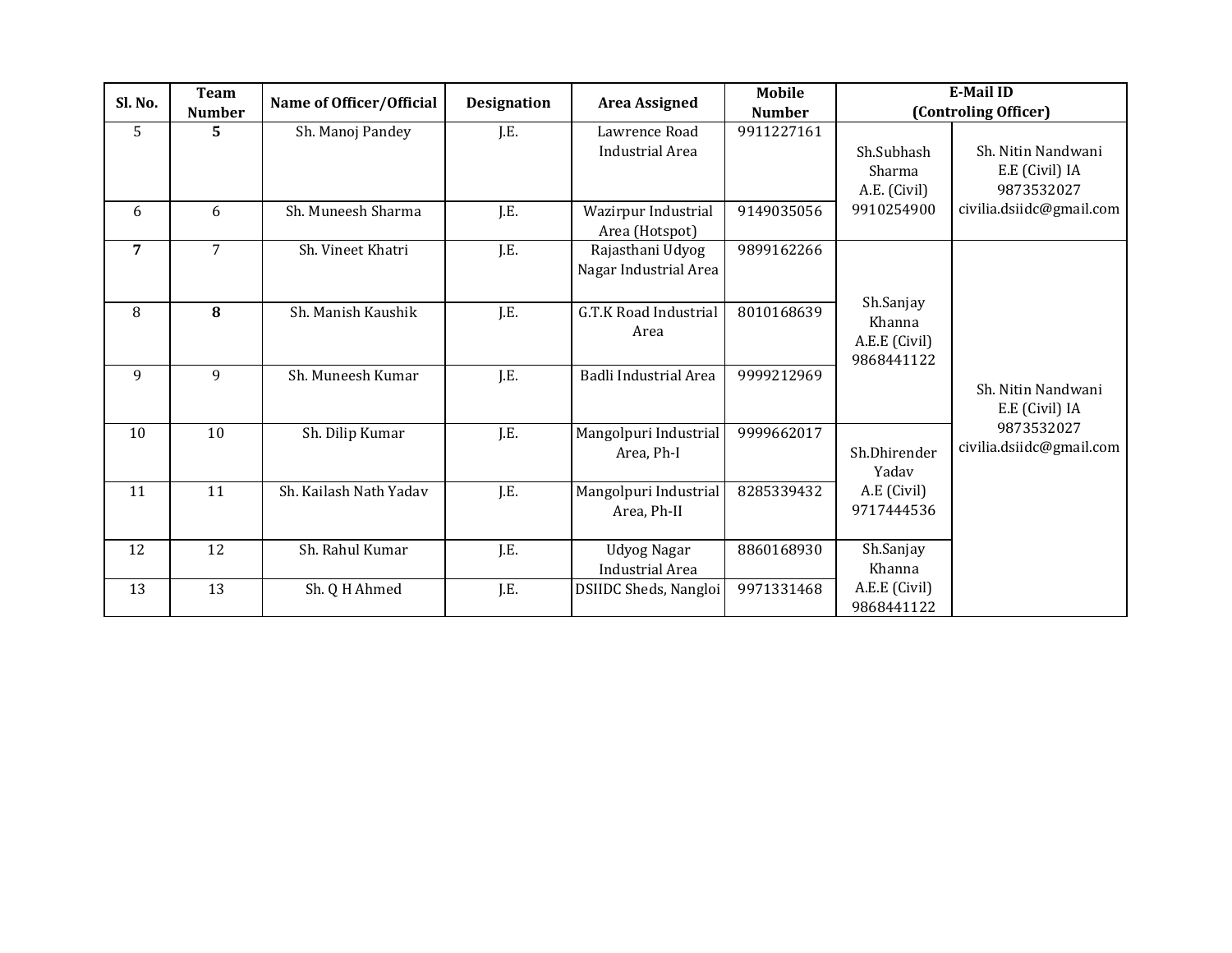| Sl. No. | <b>Team</b><br><b>Number</b> | Name of Officer/Official | <b>Designation</b> | <b>Area Assigned</b>                         | <b>Mobile</b><br><b>Number</b> | <b>E-Mail ID</b><br>(Controling Officer)           |                                                    |  |
|---------|------------------------------|--------------------------|--------------------|----------------------------------------------|--------------------------------|----------------------------------------------------|----------------------------------------------------|--|
| 5       | 5                            | Sh. Manoj Pandey         | J.E.               | Lawrence Road<br><b>Industrial Area</b>      | 9911227161                     | Sh.Subhash<br>Sharma<br>A.E. (Civil)               | Sh. Nitin Nandwani<br>E.E (Civil) IA<br>9873532027 |  |
| 6       | 6                            | Sh. Muneesh Sharma       | J.E.               | Wazirpur Industrial<br>Area (Hotspot)        | 9149035056                     | 9910254900                                         | civilia.dsiidc@gmail.com                           |  |
| 7       | 7                            | Sh. Vineet Khatri        | J.E.               | Rajasthani Udyog<br>Nagar Industrial Area    | 9899162266                     |                                                    |                                                    |  |
| 8       | 8                            | Sh. Manish Kaushik       | J.E.               | G.T.K Road Industrial<br>Area                | 8010168639                     | Sh.Sanjay<br>Khanna<br>A.E.E (Civil)<br>9868441122 |                                                    |  |
| 9       | 9                            | Sh. Muneesh Kumar        | J.E.               | Badli Industrial Area                        | 9999212969                     |                                                    | Sh. Nitin Nandwani<br>E.E (Civil) IA               |  |
| 10      | 10                           | Sh. Dilip Kumar          | J.E.               | Mangolpuri Industrial<br>Area, Ph-I          | 9999662017                     | Sh.Dhirender<br>Yadav                              | 9873532027<br>civilia.dsiidc@gmail.com             |  |
| 11      | 11                           | Sh. Kailash Nath Yadav   | J.E.               | Mangolpuri Industrial<br>Area, Ph-II         | 8285339432                     | A.E (Civil)<br>9717444536                          |                                                    |  |
| 12      | 12                           | Sh. Rahul Kumar          | J.E.               | <b>Udyog Nagar</b><br><b>Industrial Area</b> | 8860168930                     | Sh.Sanjay<br>Khanna                                |                                                    |  |
| 13      | 13                           | Sh. Q H Ahmed            | J.E.               | DSIIDC Sheds, Nangloi                        | 9971331468                     | A.E.E (Civil)<br>9868441122                        |                                                    |  |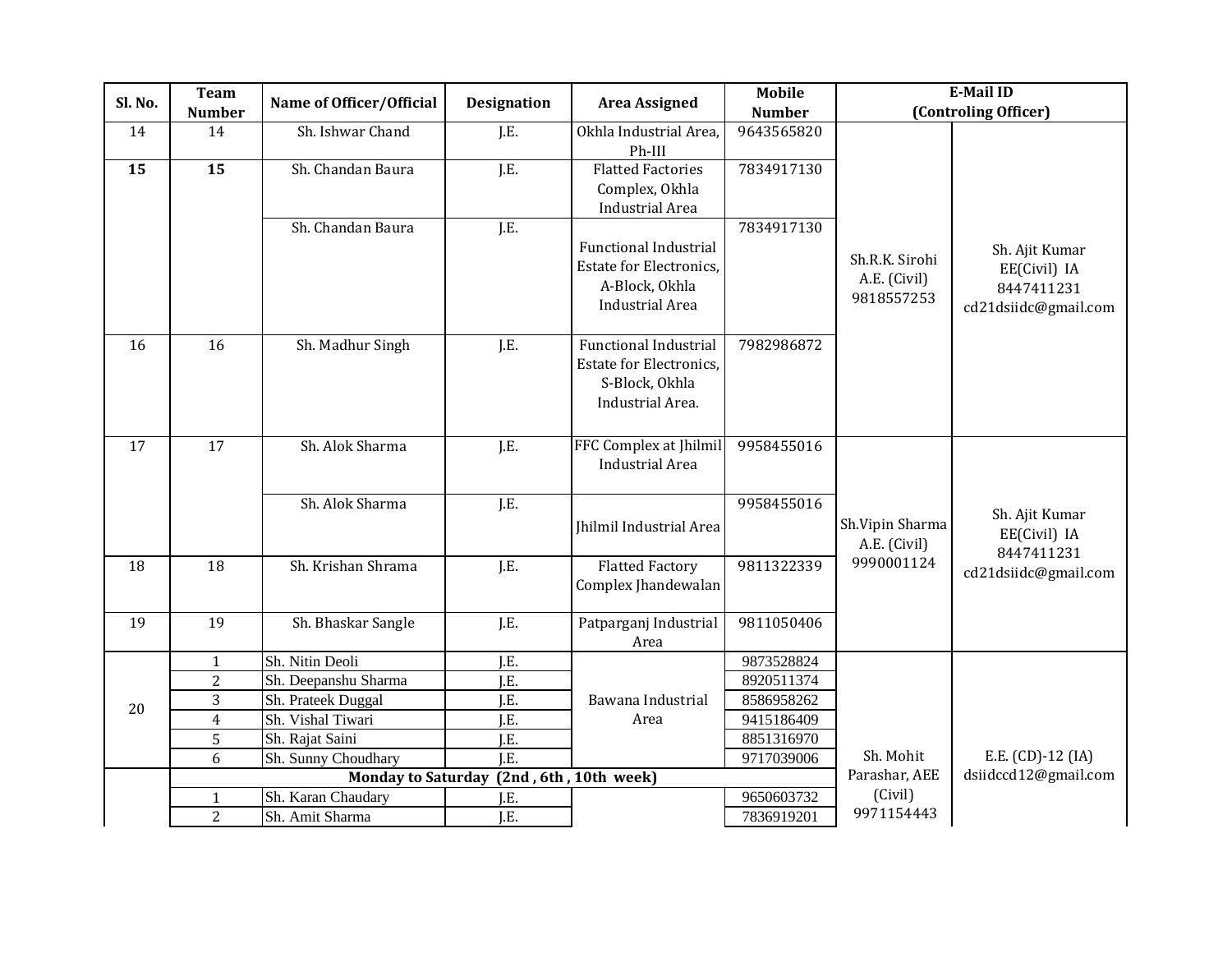| Sl. No.         | <b>Team</b>    | Name of Officer/Official  | <b>Designation</b> | <b>Area Assigned</b>           | <b>Mobile</b> |                          | <b>E-Mail ID</b>               |
|-----------------|----------------|---------------------------|--------------------|--------------------------------|---------------|--------------------------|--------------------------------|
|                 | <b>Number</b>  |                           |                    |                                | <b>Number</b> |                          | (Controling Officer)           |
| 14              | 14             | Sh. Ishwar Chand          | J.E.               | Okhla Industrial Area,         | 9643565820    |                          |                                |
|                 |                |                           |                    | Ph-III                         |               |                          |                                |
| 15              | 15             | Sh. Chandan Baura         | J.E.               | <b>Flatted Factories</b>       | 7834917130    |                          |                                |
|                 |                |                           |                    | Complex, Okhla                 |               |                          |                                |
|                 |                | Sh. Chandan Baura         | J.E.               | Industrial Area                | 7834917130    |                          |                                |
|                 |                |                           |                    | <b>Functional Industrial</b>   |               |                          |                                |
|                 |                |                           |                    | <b>Estate for Electronics.</b> |               | Sh.R.K. Sirohi           | Sh. Ajit Kumar<br>EE(Civil) IA |
|                 |                |                           |                    | A-Block, Okhla                 |               | A.E. (Civil)             | 8447411231                     |
|                 |                |                           |                    | <b>Industrial Area</b>         |               | 9818557253               | cd21dsiidc@gmail.com           |
|                 |                |                           |                    |                                |               |                          |                                |
| 16              | 16             | Sh. Madhur Singh          | J.E.               | <b>Functional Industrial</b>   | 7982986872    |                          |                                |
|                 |                |                           |                    | <b>Estate for Electronics,</b> |               |                          |                                |
|                 |                |                           |                    | S-Block, Okhla                 |               |                          |                                |
|                 |                |                           |                    | Industrial Area.               |               |                          |                                |
|                 |                |                           |                    |                                |               |                          |                                |
| $\overline{17}$ | 17             | Sh. Alok Sharma           | J.E.               | FFC Complex at Jhilmil         | 9958455016    |                          |                                |
|                 |                |                           |                    | <b>Industrial Area</b>         |               |                          |                                |
|                 |                | Sh. Alok Sharma           | J.E.               |                                | 9958455016    |                          |                                |
|                 |                |                           |                    | Jhilmil Industrial Area        |               | Sh.Vipin Sharma          | Sh. Ajit Kumar                 |
|                 |                |                           |                    |                                |               | A.E. (Civil)             | EE(Civil) IA<br>8447411231     |
| 18              | 18             | Sh. Krishan Shrama        | J.E.               | <b>Flatted Factory</b>         | 9811322339    | 9990001124               | cd21dsiidc@gmail.com           |
|                 |                |                           |                    | Complex Jhandewalan            |               |                          |                                |
| 19              | 19             | Sh. Bhaskar Sangle        | J.E.               | Patparganj Industrial          | 9811050406    |                          |                                |
|                 |                |                           |                    | Area                           |               |                          |                                |
|                 | $\mathbf{1}$   | Sh. Nitin Deoli           | J.E.               |                                | 9873528824    |                          |                                |
|                 | $\overline{2}$ | Sh. Deepanshu Sharma      | J.E.               |                                | 8920511374    |                          |                                |
| 20              | 3              | Sh. Prateek Duggal        | J.E.               | Bawana Industrial              | 8586958262    |                          |                                |
|                 | $\overline{4}$ | Sh. Vishal Tiwari         | J.E.               | Area                           | 9415186409    |                          |                                |
|                 | 5              | Sh. Rajat Saini           | J.E.               |                                | 8851316970    |                          |                                |
|                 | 6              | Sh. Sunny Choudhary       | $\overline{LE}$ .  |                                | 9717039006    | Sh. Mohit                | E.E. (CD)-12 (IA)              |
|                 |                | <b>Monday to Saturday</b> |                    | (2nd, 6th, 10th week)          |               | Parashar, AEE<br>(Civil) | dsiidccd12@gmail.com           |
|                 | $\mathbf{1}$   | Sh. Karan Chaudary        | J.E.               |                                | 9650603732    | 9971154443               |                                |
|                 | $\overline{2}$ | Sh. Amit Sharma           | J.E.               |                                | 7836919201    |                          |                                |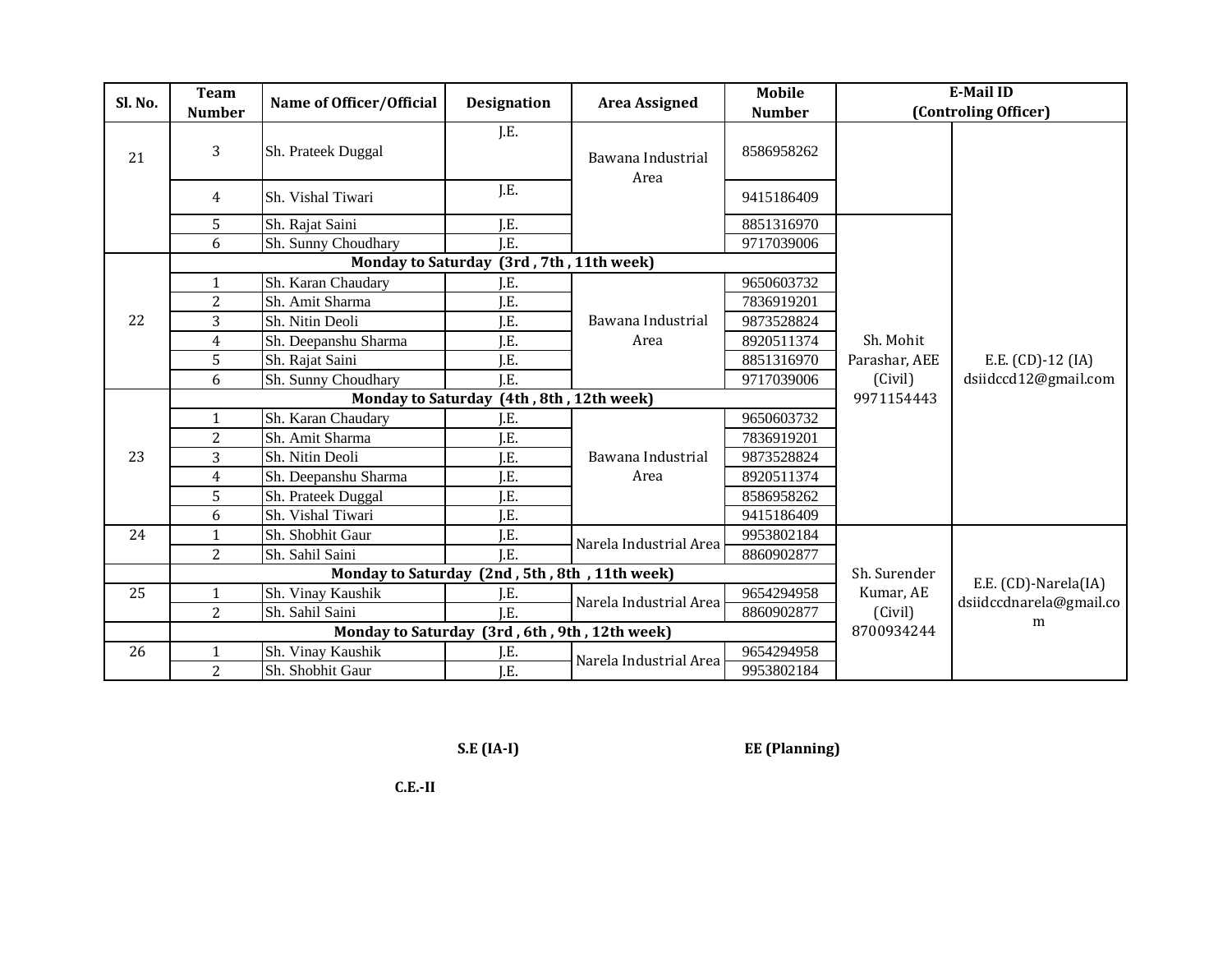| Sl. No. | <b>Team</b>                                   | Name of Officer/Official  | <b>Designation</b>                            | <b>Area Assigned</b>      | <b>Mobile</b> |               | <b>E-Mail ID</b>        |
|---------|-----------------------------------------------|---------------------------|-----------------------------------------------|---------------------------|---------------|---------------|-------------------------|
|         | <b>Number</b>                                 |                           |                                               |                           | <b>Number</b> |               | (Controling Officer)    |
| 21      | 3                                             | Sh. Prateek Duggal        | J.E.                                          | Bawana Industrial<br>Area | 8586958262    |               |                         |
|         | 4                                             | Sh. Vishal Tiwari         | J.E.                                          |                           | 9415186409    |               |                         |
|         | 5                                             | Sh. Rajat Saini           | J.E.                                          |                           | 8851316970    |               |                         |
|         | 6                                             | Sh. Sunny Choudhary       | I.E.                                          |                           | 9717039006    |               |                         |
|         |                                               | <b>Monday to Saturday</b> |                                               | (3rd, 7th, 11th week)     |               |               |                         |
|         | $\mathbf{1}$                                  | Sh. Karan Chaudary        | ίE.                                           |                           | 9650603732    |               |                         |
|         | $\overline{2}$                                | Sh. Amit Sharma           | LE.                                           |                           | 7836919201    |               |                         |
| 22      | 3                                             | Sh. Nitin Deoli           | $\rm I.E.$                                    | Bawana Industrial         | 9873528824    |               |                         |
|         | 4                                             | Sh. Deepanshu Sharma      | J.E.                                          | Area                      | 8920511374    | Sh. Mohit     |                         |
|         | 5                                             | Sh. Rajat Saini           | J.E.                                          |                           | 8851316970    | Parashar, AEE | E.E. (CD)-12 (IA)       |
|         | 6                                             | Sh. Sunny Choudhary       | LE.                                           |                           | 9717039006    | (Civil)       | dsiidccd12@gmail.com    |
|         |                                               |                           | Monday to Saturday (4th, 8th, 12th week)      |                           |               | 9971154443    |                         |
|         | $\mathbf{1}$                                  | Sh. Karan Chaudary        | I.E.                                          | Bawana Industrial<br>Area | 9650603732    |               |                         |
|         | $\overline{2}$                                | Sh. Amit Sharma           | LE.                                           |                           | 7836919201    |               |                         |
| 23      | 3                                             | Sh. Nitin Deoli           | I.E.                                          |                           | 9873528824    |               |                         |
|         | 4                                             | Sh. Deepanshu Sharma      | J.E.                                          |                           | 8920511374    |               |                         |
|         | 5                                             | Sh. Prateek Duggal        | I.E.                                          |                           | 8586958262    |               |                         |
|         | 6                                             | Sh. Vishal Tiwari         | J.E.                                          |                           | 9415186409    |               |                         |
| 24      | $\mathbf{1}$                                  | Sh. Shobhit Gaur          | J.E.                                          | Narela Industrial Area    | 9953802184    |               |                         |
|         | $\overline{2}$                                | Sh. Sahil Saini           | $\overline{LE.}$                              |                           | 8860902877    |               |                         |
|         | Monday to Saturday (2nd, 5th, 8th, 11th week) |                           |                                               |                           |               | Sh. Surender  | E.E. (CD)-Narela(IA)    |
| 25      | $\mathbf{1}$                                  | Sh. Vinay Kaushik         | J.E.                                          | Narela Industrial Area    | 9654294958    | Kumar, AE     | dsiidccdnarela@gmail.co |
|         | $\overline{2}$                                | Sh. Sahil Saini           | I.E.                                          |                           | 8860902877    | (Civil)       | m                       |
|         |                                               |                           | Monday to Saturday (3rd, 6th, 9th, 12th week) |                           |               | 8700934244    |                         |
| 26      | $\mathbf{1}$                                  | Sh. Vinay Kaushik         | J.E.                                          | Narela Industrial Area    | 9654294958    |               |                         |
|         | $\overline{2}$                                | Sh. Shobhit Gaur          | J.E.                                          |                           | 9953802184    |               |                         |

**S.E (IA-I) EE (Planning)**

 **C.E.-II**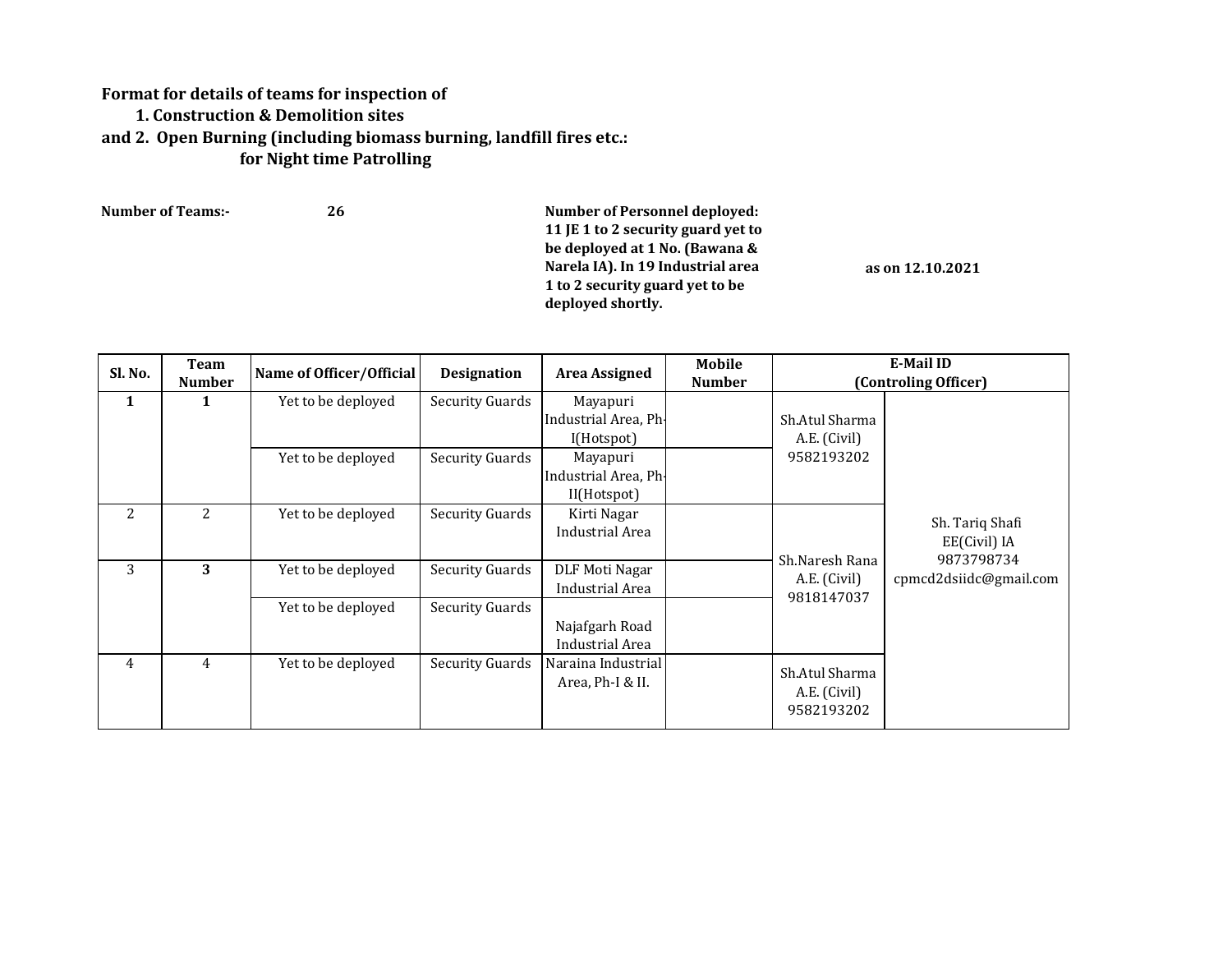## **Format for details of teams for inspection of 1. Construction & Demolition sites and 2. Open Burning (including biomass burning, landfill fires etc.: for Night time Patrolling**

| <b>Number of Teams:-</b> | 26 | Number of Personnel deployed:<br>11 JE 1 to 2 security guard yet to<br>be deployed at 1 No. (Bawana &<br>Narela IA). In 19 Industrial area<br>1 to 2 security guard yet to be | as on 12.10.2021 |
|--------------------------|----|-------------------------------------------------------------------------------------------------------------------------------------------------------------------------------|------------------|
|                          |    | deployed shortly.                                                                                                                                                             |                  |

| Sl. No. | Team<br><b>Number</b> | Name of Officer/Official | <b>Designation</b>     | <b>Area Assigned</b>                            | Mobile<br><b>Number</b> |                                              | E-Mail ID<br>(Controling Officer)    |
|---------|-----------------------|--------------------------|------------------------|-------------------------------------------------|-------------------------|----------------------------------------------|--------------------------------------|
| 1       | 1                     | Yet to be deployed       | <b>Security Guards</b> | Mayapuri<br>Industrial Area, Ph-<br>I(Hotspot)  |                         | Sh.Atul Sharma<br>A.E. (Civil)               |                                      |
|         |                       | Yet to be deployed       | <b>Security Guards</b> | Mayapuri<br>Industrial Area, Ph-<br>II(Hotspot) |                         | 9582193202                                   |                                      |
| 2       | 2                     | Yet to be deployed       | <b>Security Guards</b> | Kirti Nagar<br>Industrial Area                  |                         |                                              | Sh. Tariq Shafi<br>EE(Civil) IA      |
| 3       | 3                     | Yet to be deployed       | <b>Security Guards</b> | DLF Moti Nagar<br>Industrial Area               |                         | Sh.Naresh Rana<br>A.E. (Civil)<br>9818147037 | 9873798734<br>cpmcd2dsiidc@gmail.com |
|         |                       | Yet to be deployed       | <b>Security Guards</b> | Najafgarh Road<br>Industrial Area               |                         |                                              |                                      |
| 4       | 4                     | Yet to be deployed       | <b>Security Guards</b> | Naraina Industrial<br>Area, Ph-I & II.          |                         | Sh.Atul Sharma<br>A.E. (Civil)<br>9582193202 |                                      |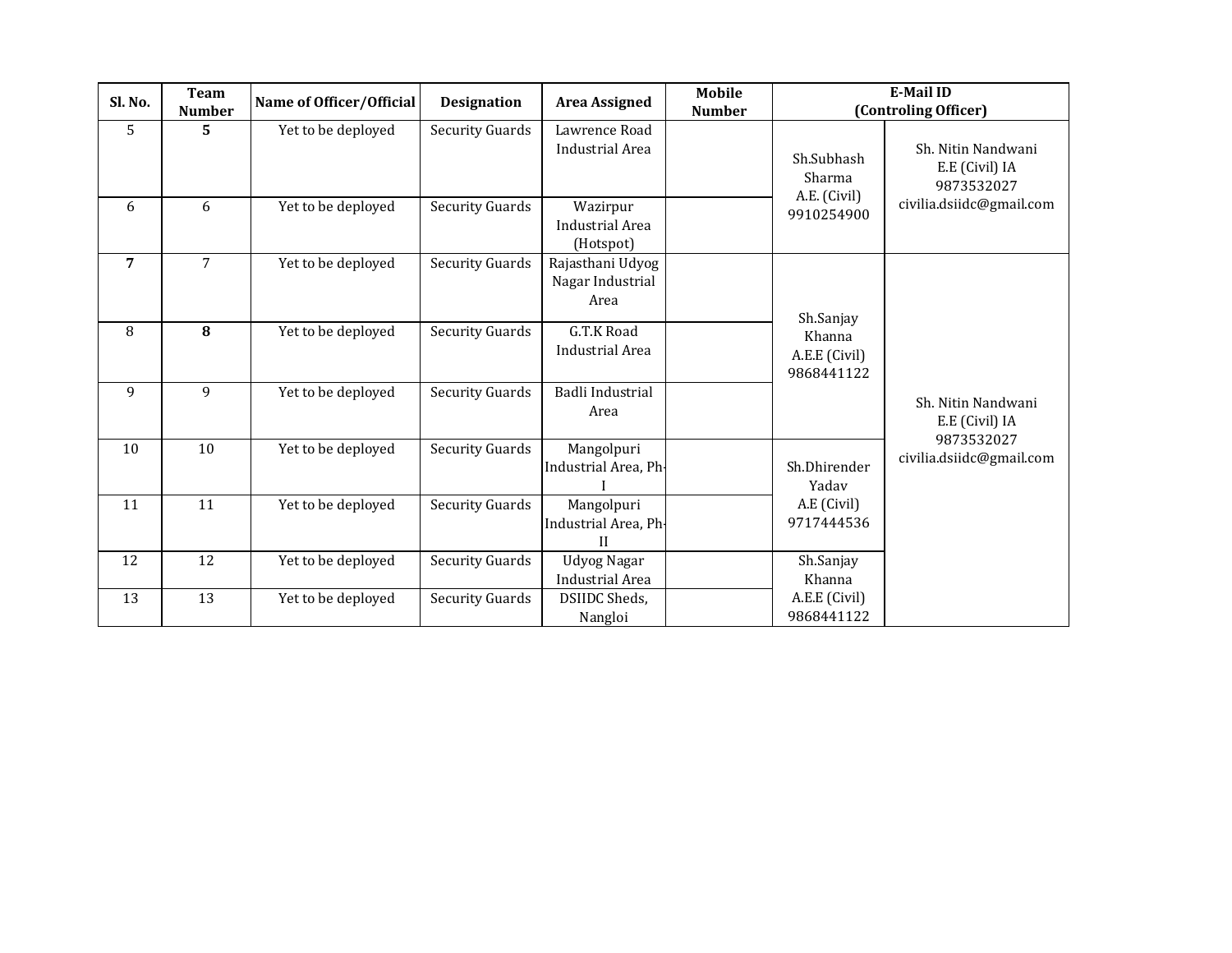| Sl. No. | Team<br><b>Number</b> | Name of Officer/Official | <b>Designation</b>     | <b>Area Assigned</b>                            | Mobile<br><b>Number</b> | <b>E-Mail ID</b><br>(Controling Officer)                                                    |                                                                                |
|---------|-----------------------|--------------------------|------------------------|-------------------------------------------------|-------------------------|---------------------------------------------------------------------------------------------|--------------------------------------------------------------------------------|
| 5       | 5                     | Yet to be deployed       | <b>Security Guards</b> | Lawrence Road<br><b>Industrial Area</b>         |                         | Sh.Subhash<br>Sharma<br>A.E. (Civil)<br>9910254900                                          | Sh. Nitin Nandwani<br>E.E (Civil) IA<br>9873532027                             |
| 6       | 6                     | Yet to be deployed       | <b>Security Guards</b> | Wazirpur<br><b>Industrial Area</b><br>(Hotspot) |                         |                                                                                             |                                                                                |
| 7       | 7                     | Yet to be deployed       | <b>Security Guards</b> | Rajasthani Udyog<br>Nagar Industrial<br>Area    |                         | Sh.Sanjay                                                                                   |                                                                                |
| 8       | 8                     | Yet to be deployed       | <b>Security Guards</b> | G.T.K Road<br><b>Industrial Area</b>            |                         | Khanna<br>A.E.E (Civil)<br>9868441122<br>Sh.Dhirender<br>Yadav<br>A.E (Civil)<br>9717444536 | Sh. Nitin Nandwani<br>E.E (Civil) IA<br>9873532027<br>civilia.dsiidc@gmail.com |
| 9       | $\overline{9}$        | Yet to be deployed       | <b>Security Guards</b> | <b>Badli Industrial</b><br>Area                 |                         |                                                                                             |                                                                                |
| 10      | 10                    | Yet to be deployed       | <b>Security Guards</b> | Mangolpuri<br>Industrial Area, Ph-              |                         |                                                                                             |                                                                                |
| 11      | 11                    | Yet to be deployed       | <b>Security Guards</b> | Mangolpuri<br>Industrial Area, Ph-<br>H         |                         |                                                                                             |                                                                                |
| 12      | 12                    | Yet to be deployed       | <b>Security Guards</b> | <b>Udyog Nagar</b><br><b>Industrial Area</b>    |                         | Sh.Sanjay<br>Khanna                                                                         |                                                                                |
| 13      | 13                    | Yet to be deployed       | <b>Security Guards</b> | DSIIDC Sheds,<br>Nangloi                        |                         | A.E.E (Civil)<br>9868441122                                                                 |                                                                                |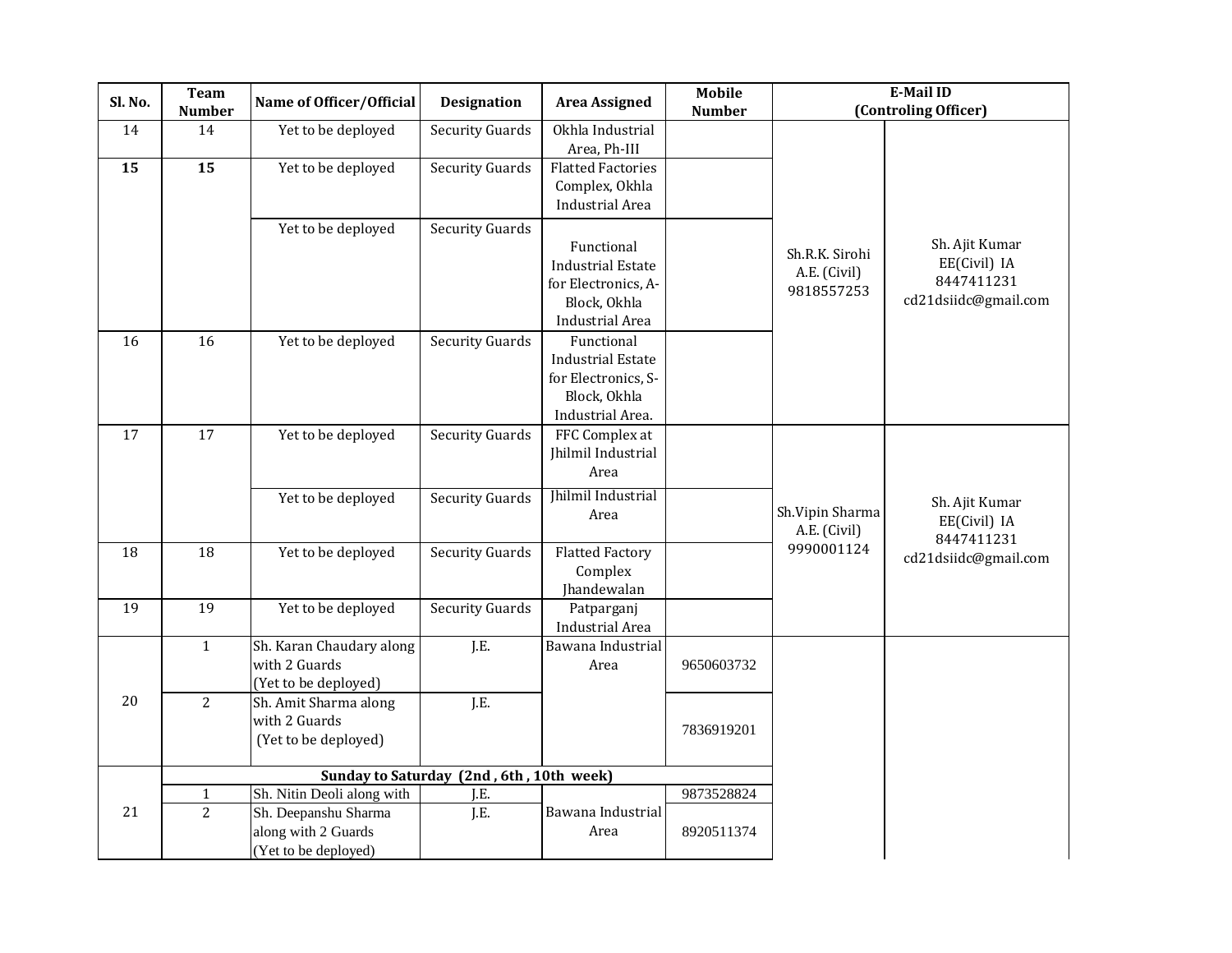| Sl. No. | <b>Team</b><br><b>Number</b> | Name of Officer/Official                                            | <b>Designation</b>                       | <b>Area Assigned</b>                                                                              | <b>Mobile</b><br><b>Number</b> | <b>E-Mail ID</b><br>(Controling Officer)     |                                                                      |
|---------|------------------------------|---------------------------------------------------------------------|------------------------------------------|---------------------------------------------------------------------------------------------------|--------------------------------|----------------------------------------------|----------------------------------------------------------------------|
| 14      | 14                           | Yet to be deployed                                                  | <b>Security Guards</b>                   | Okhla Industrial<br>Area, Ph-III                                                                  |                                |                                              |                                                                      |
| 15      | 15                           | Yet to be deployed                                                  | Security Guards                          | <b>Flatted Factories</b><br>Complex, Okhla<br>Industrial Area                                     |                                |                                              |                                                                      |
|         |                              | Yet to be deployed                                                  | <b>Security Guards</b>                   | Functional<br><b>Industrial Estate</b><br>for Electronics, A-<br>Block, Okhla<br>Industrial Area  |                                | Sh.R.K. Sirohi<br>A.E. (Civil)<br>9818557253 | Sh. Ajit Kumar<br>EE(Civil) IA<br>8447411231<br>cd21dsiidc@gmail.com |
| 16      | 16                           | Yet to be deployed                                                  | <b>Security Guards</b>                   | Functional<br><b>Industrial Estate</b><br>for Electronics, S-<br>Block, Okhla<br>Industrial Area. |                                |                                              |                                                                      |
| 17      | 17                           | Yet to be deployed                                                  | <b>Security Guards</b>                   | FFC Complex at<br>Jhilmil Industrial<br>Area                                                      |                                |                                              |                                                                      |
|         |                              | Yet to be deployed                                                  | <b>Security Guards</b>                   | <b>Ihilmil Industrial</b><br>Area                                                                 |                                | Sh.Vipin Sharma<br>A.E. (Civil)              | Sh. Ajit Kumar<br>EE(Civil) IA<br>8447411231                         |
| 18      | 18                           | Yet to be deployed                                                  | <b>Security Guards</b>                   | <b>Flatted Factory</b><br>Complex<br>Jhandewalan                                                  |                                | 9990001124                                   | cd21dsiidc@gmail.com                                                 |
| 19      | 19                           | Yet to be deployed                                                  | <b>Security Guards</b>                   | Patparganj<br><b>Industrial Area</b>                                                              |                                |                                              |                                                                      |
|         | $\mathbf{1}$                 | Sh. Karan Chaudary along<br>with 2 Guards<br>(Yet to be deployed)   | J.E.                                     | Bawana Industrial<br>Area                                                                         | 9650603732                     |                                              |                                                                      |
| 20      | 2                            | Sh. Amit Sharma along<br>with 2 Guards<br>(Yet to be deployed)      | J.E.                                     |                                                                                                   | 7836919201                     |                                              |                                                                      |
|         |                              |                                                                     | Sunday to Saturday (2nd, 6th, 10th week) |                                                                                                   |                                |                                              |                                                                      |
|         | $\mathbf{1}$                 | Sh. Nitin Deoli along with                                          | J.E.                                     |                                                                                                   | 9873528824                     |                                              |                                                                      |
| 21      | 2                            | Sh. Deepanshu Sharma<br>along with 2 Guards<br>(Yet to be deployed) | J.E.                                     | Bawana Industrial<br>Area                                                                         | 8920511374                     |                                              |                                                                      |